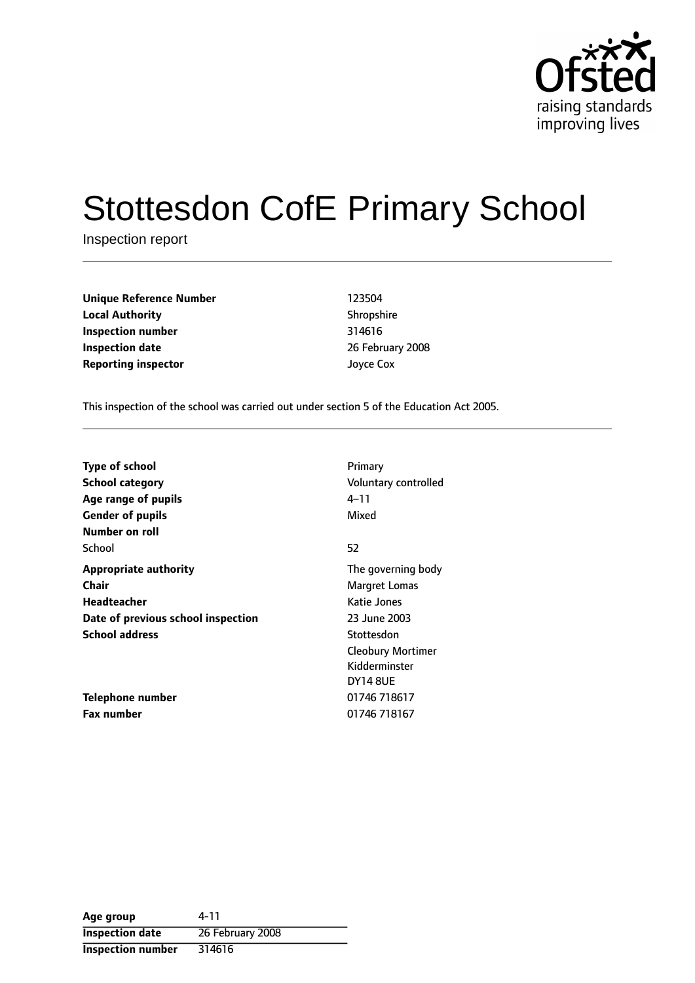

# Stottesdon CofE Primary School

Inspection report

**Unique Reference Number** 123504 **Local Authority** Shropshire **Inspection number** 314616 **Inspection date** 26 February 2008 **Reporting inspector discriming** Joyce Cox

This inspection of the school was carried out under section 5 of the Education Act 2005.

| <b>Type of school</b><br>School category<br>Age range of pupils<br><b>Gender of pupils</b><br>Number on roll | Primary<br>Voluntary controlled<br>4–11<br>Mixed                           |
|--------------------------------------------------------------------------------------------------------------|----------------------------------------------------------------------------|
| School                                                                                                       | 52                                                                         |
| <b>Appropriate authority</b><br>Chair<br><b>Headteacher</b><br>Date of previous school inspection            | The governing body<br>Margret Lomas<br>Katie Jones<br>23 June 2003         |
| <b>School address</b>                                                                                        | Stottesdon<br><b>Cleobury Mortimer</b><br>Kidderminster<br><b>DY14 8UE</b> |
| Telephone number<br><b>Fax number</b>                                                                        | 01746 718617<br>01746 718167                                               |

**Age group** 4-11 **Inspection date** 26 February 2008 **Inspection number** 314616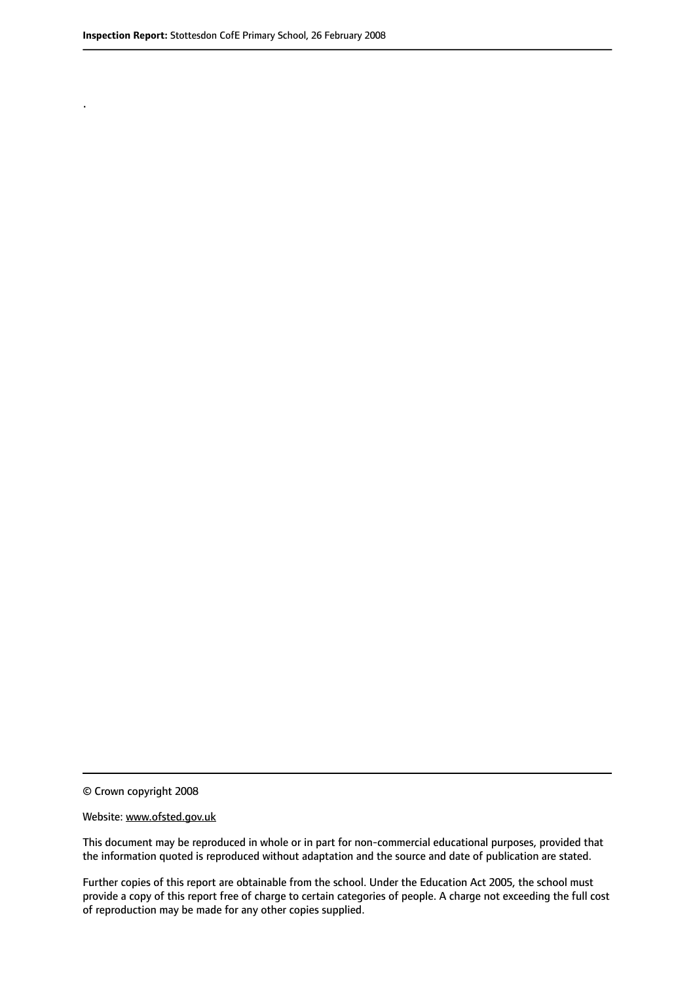.

© Crown copyright 2008

#### Website: www.ofsted.gov.uk

This document may be reproduced in whole or in part for non-commercial educational purposes, provided that the information quoted is reproduced without adaptation and the source and date of publication are stated.

Further copies of this report are obtainable from the school. Under the Education Act 2005, the school must provide a copy of this report free of charge to certain categories of people. A charge not exceeding the full cost of reproduction may be made for any other copies supplied.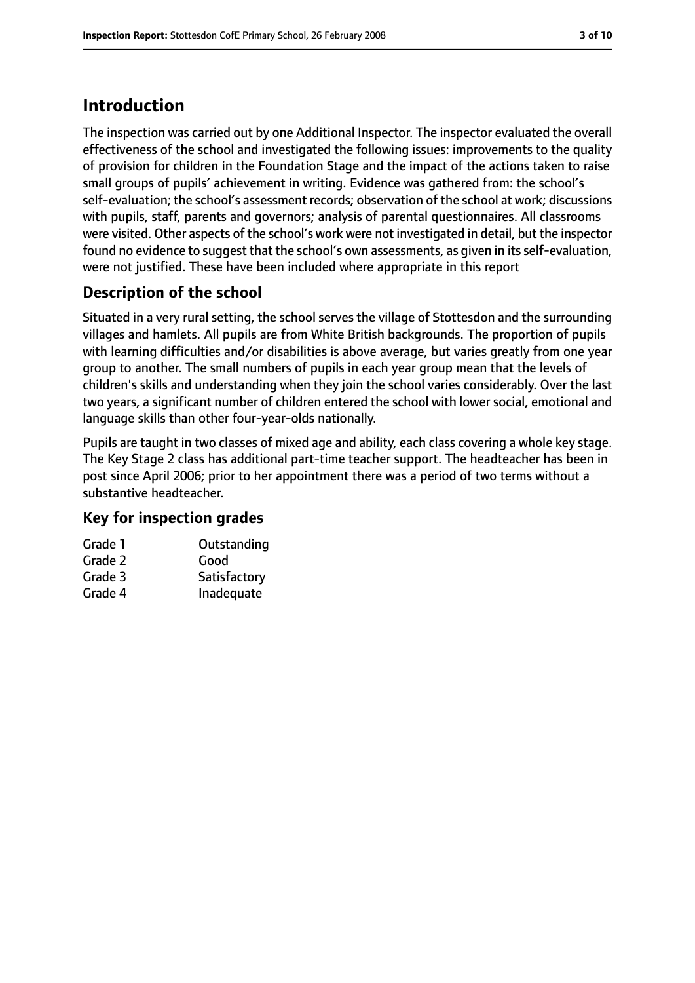# **Introduction**

The inspection was carried out by one Additional Inspector. The inspector evaluated the overall effectiveness of the school and investigated the following issues: improvements to the quality of provision for children in the Foundation Stage and the impact of the actions taken to raise small groups of pupils' achievement in writing. Evidence was gathered from: the school's self-evaluation; the school's assessment records; observation of the school at work; discussions with pupils, staff, parents and governors; analysis of parental questionnaires. All classrooms were visited. Other aspects of the school's work were not investigated in detail, but the inspector found no evidence to suggest that the school's own assessments, as given in its self-evaluation, were not justified. These have been included where appropriate in this report

### **Description of the school**

Situated in a very rural setting, the school serves the village of Stottesdon and the surrounding villages and hamlets. All pupils are from White British backgrounds. The proportion of pupils with learning difficulties and/or disabilities is above average, but varies greatly from one year group to another. The small numbers of pupils in each year group mean that the levels of children's skills and understanding when they join the school varies considerably. Over the last two years, a significant number of children entered the school with lower social, emotional and language skills than other four-year-olds nationally.

Pupils are taught in two classes of mixed age and ability, each class covering a whole key stage. The Key Stage 2 class has additional part-time teacher support. The headteacher has been in post since April 2006; prior to her appointment there was a period of two terms without a substantive headteacher.

### **Key for inspection grades**

| Grade 1 | Outstanding  |
|---------|--------------|
| Grade 2 | Good         |
| Grade 3 | Satisfactory |
| Grade 4 | Inadequate   |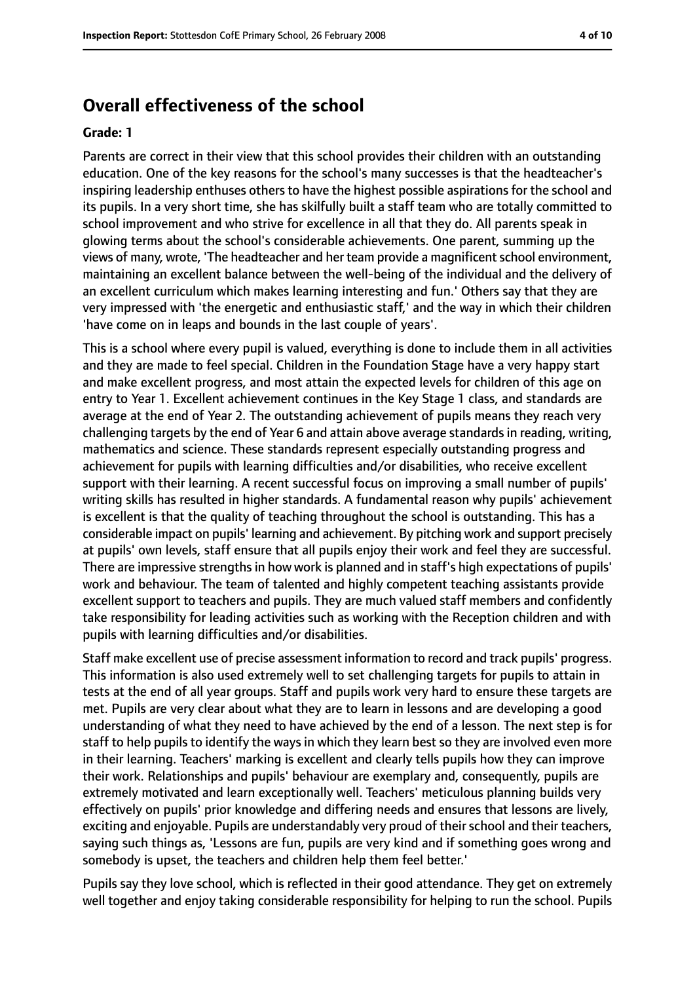### **Overall effectiveness of the school**

#### **Grade: 1**

Parents are correct in their view that this school provides their children with an outstanding education. One of the key reasons for the school's many successes is that the headteacher's inspiring leadership enthuses others to have the highest possible aspirations for the school and its pupils. In a very short time, she has skilfully built a staff team who are totally committed to school improvement and who strive for excellence in all that they do. All parents speak in glowing terms about the school's considerable achievements. One parent, summing up the views of many, wrote, 'The headteacher and her team provide a magnificentschool environment, maintaining an excellent balance between the well-being of the individual and the delivery of an excellent curriculum which makes learning interesting and fun.' Others say that they are very impressed with 'the energetic and enthusiastic staff,' and the way in which their children 'have come on in leaps and bounds in the last couple of years'.

This is a school where every pupil is valued, everything is done to include them in all activities and they are made to feel special. Children in the Foundation Stage have a very happy start and make excellent progress, and most attain the expected levels for children of this age on entry to Year 1. Excellent achievement continues in the Key Stage 1 class, and standards are average at the end of Year 2. The outstanding achievement of pupils means they reach very challenging targets by the end of Year 6 and attain above average standardsin reading, writing, mathematics and science. These standards represent especially outstanding progress and achievement for pupils with learning difficulties and/or disabilities, who receive excellent support with their learning. A recent successful focus on improving a small number of pupils' writing skills has resulted in higher standards. A fundamental reason why pupils' achievement is excellent is that the quality of teaching throughout the school is outstanding. This has a considerable impact on pupils' learning and achievement. By pitching work and support precisely at pupils' own levels, staff ensure that all pupils enjoy their work and feel they are successful. There are impressive strengths in how work is planned and in staff's high expectations of pupils' work and behaviour. The team of talented and highly competent teaching assistants provide excellent support to teachers and pupils. They are much valued staff members and confidently take responsibility for leading activities such as working with the Reception children and with pupils with learning difficulties and/or disabilities.

Staff make excellent use of precise assessment information to record and track pupils' progress. This information is also used extremely well to set challenging targets for pupils to attain in tests at the end of all year groups. Staff and pupils work very hard to ensure these targets are met. Pupils are very clear about what they are to learn in lessons and are developing a good understanding of what they need to have achieved by the end of a lesson. The next step is for staff to help pupils to identify the ways in which they learn best so they are involved even more in their learning. Teachers' marking is excellent and clearly tells pupils how they can improve their work. Relationships and pupils' behaviour are exemplary and, consequently, pupils are extremely motivated and learn exceptionally well. Teachers' meticulous planning builds very effectively on pupils' prior knowledge and differing needs and ensures that lessons are lively, exciting and enjoyable. Pupils are understandably very proud of their school and their teachers, saying such things as, 'Lessons are fun, pupils are very kind and if something goes wrong and somebody is upset, the teachers and children help them feel better.'

Pupils say they love school, which is reflected in their good attendance. They get on extremely well together and enjoy taking considerable responsibility for helping to run the school. Pupils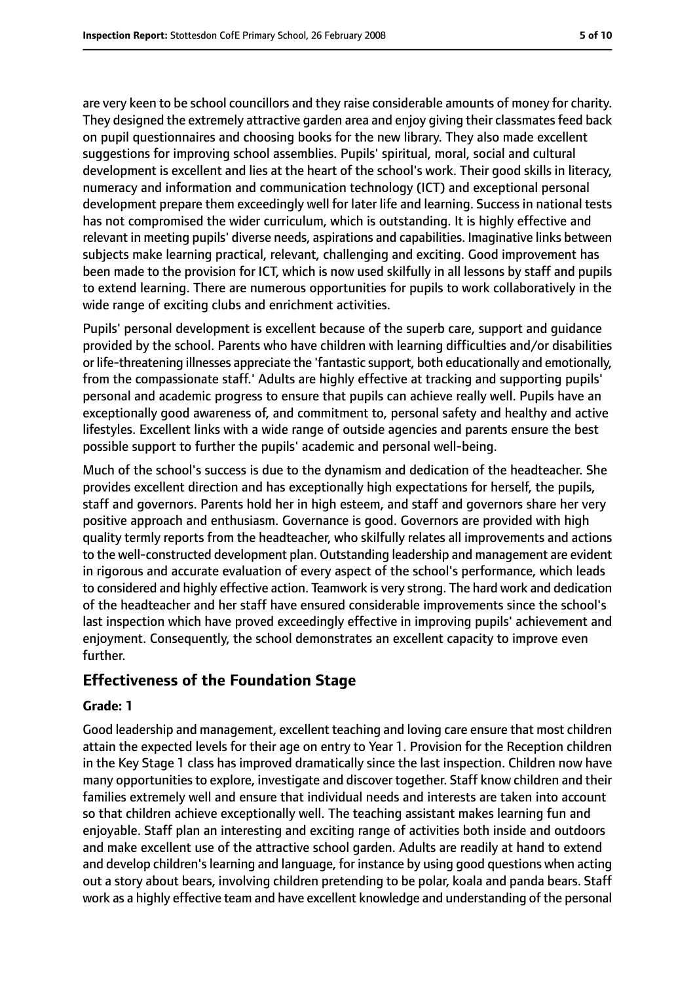are very keen to be school councillors and they raise considerable amounts of money for charity. They designed the extremely attractive garden area and enjoy giving their classmatesfeed back on pupil questionnaires and choosing books for the new library. They also made excellent suggestions for improving school assemblies. Pupils' spiritual, moral, social and cultural development is excellent and lies at the heart of the school's work. Their good skills in literacy, numeracy and information and communication technology (ICT) and exceptional personal development prepare them exceedingly well for later life and learning. Success in national tests has not compromised the wider curriculum, which is outstanding. It is highly effective and relevant in meeting pupils' diverse needs, aspirations and capabilities. Imaginative links between subjects make learning practical, relevant, challenging and exciting. Good improvement has been made to the provision for ICT, which is now used skilfully in all lessons by staff and pupils to extend learning. There are numerous opportunities for pupils to work collaboratively in the wide range of exciting clubs and enrichment activities.

Pupils' personal development is excellent because of the superb care, support and guidance provided by the school. Parents who have children with learning difficulties and/or disabilities or life-threatening illnesses appreciate the 'fantastic support, both educationally and emotionally, from the compassionate staff.' Adults are highly effective at tracking and supporting pupils' personal and academic progress to ensure that pupils can achieve really well. Pupils have an exceptionally good awareness of, and commitment to, personal safety and healthy and active lifestyles. Excellent links with a wide range of outside agencies and parents ensure the best possible support to further the pupils' academic and personal well-being.

Much of the school's success is due to the dynamism and dedication of the headteacher. She provides excellent direction and has exceptionally high expectations for herself, the pupils, staff and governors. Parents hold her in high esteem, and staff and governors share her very positive approach and enthusiasm. Governance is good. Governors are provided with high quality termly reports from the headteacher, who skilfully relates all improvements and actions to the well-constructed development plan. Outstanding leadership and management are evident in rigorous and accurate evaluation of every aspect of the school's performance, which leads to considered and highly effective action. Teamwork is very strong. The hard work and dedication of the headteacher and her staff have ensured considerable improvements since the school's last inspection which have proved exceedingly effective in improving pupils' achievement and enjoyment. Consequently, the school demonstrates an excellent capacity to improve even further.

### **Effectiveness of the Foundation Stage**

#### **Grade: 1**

Good leadership and management, excellent teaching and loving care ensure that most children attain the expected levels for their age on entry to Year 1. Provision for the Reception children in the Key Stage 1 class has improved dramatically since the last inspection. Children now have many opportunitiesto explore, investigate and discover together. Staff know children and their families extremely well and ensure that individual needs and interests are taken into account so that children achieve exceptionally well. The teaching assistant makes learning fun and enjoyable. Staff plan an interesting and exciting range of activities both inside and outdoors and make excellent use of the attractive school garden. Adults are readily at hand to extend and develop children'slearning and language, for instance by using good questions when acting out a story about bears, involving children pretending to be polar, koala and panda bears. Staff work as a highly effective team and have excellent knowledge and understanding of the personal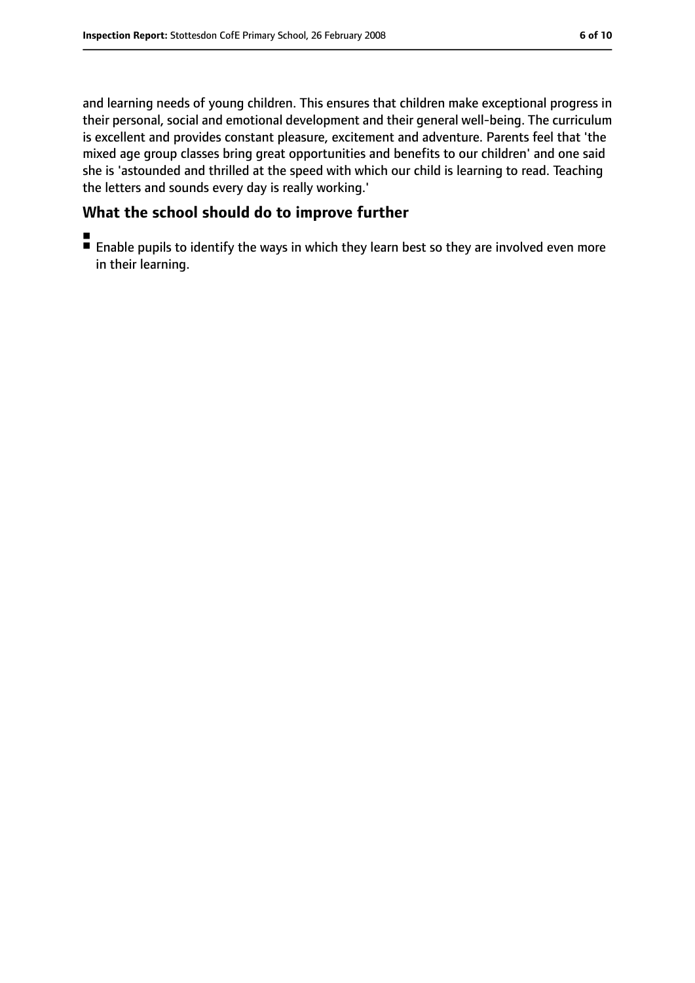and learning needs of young children. This ensures that children make exceptional progress in their personal, social and emotional development and their general well-being. The curriculum is excellent and provides constant pleasure, excitement and adventure. Parents feel that 'the mixed age group classes bring great opportunities and benefits to our children' and one said she is 'astounded and thrilled at the speed with which our child is learning to read. Teaching the letters and sounds every day is really working.'

### **What the school should do to improve further**

■ Enable pupils to identify the ways in which they learn best so they are involved even more in their learning.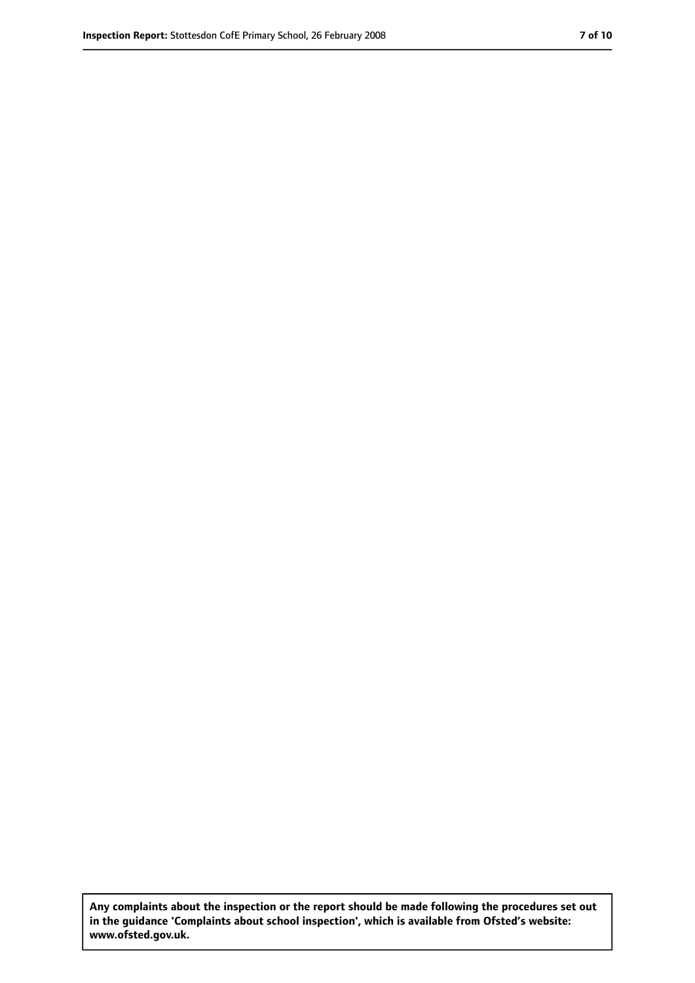**Any complaints about the inspection or the report should be made following the procedures set out in the guidance 'Complaints about school inspection', which is available from Ofsted's website: www.ofsted.gov.uk.**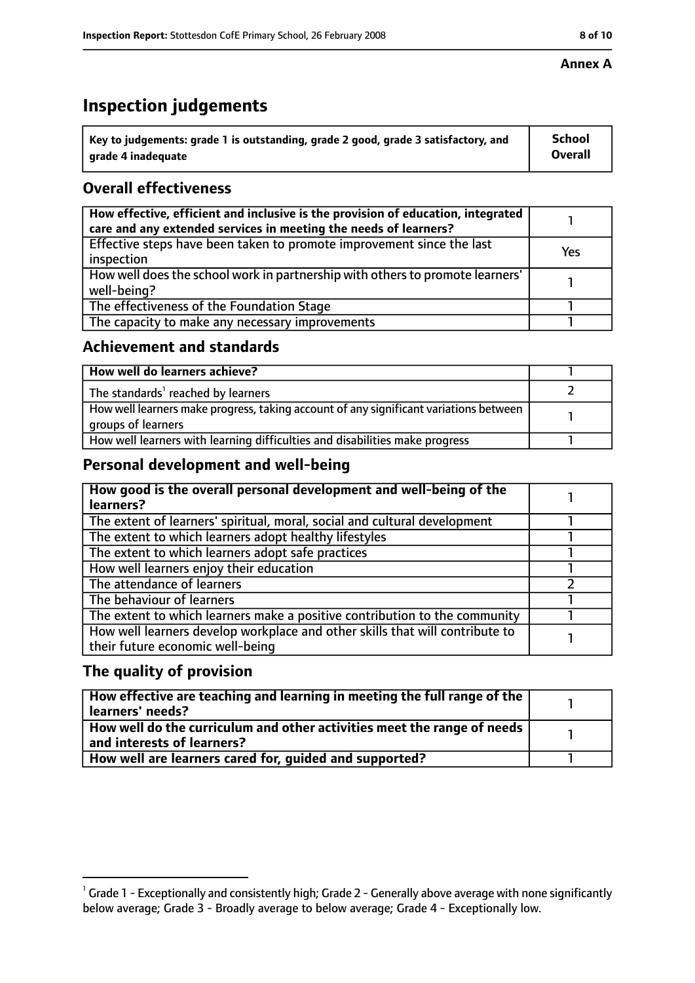# **Inspection judgements**

| $^{\backprime}$ Key to judgements: grade 1 is outstanding, grade 2 good, grade 3 satisfactory, and | <b>School</b>  |
|----------------------------------------------------------------------------------------------------|----------------|
| arade 4 inadequate                                                                                 | <b>Overall</b> |

### **Overall effectiveness**

| How effective, efficient and inclusive is the provision of education, integrated<br>care and any extended services in meeting the needs of learners? |     |
|------------------------------------------------------------------------------------------------------------------------------------------------------|-----|
| Effective steps have been taken to promote improvement since the last<br>inspection                                                                  | Yes |
| How well does the school work in partnership with others to promote learners'<br>well-being?                                                         |     |
| The effectiveness of the Foundation Stage                                                                                                            |     |
| The capacity to make any necessary improvements                                                                                                      |     |

### **Achievement and standards**

| How well do learners achieve?                                                                               |  |
|-------------------------------------------------------------------------------------------------------------|--|
| The standards <sup>1</sup> reached by learners                                                              |  |
| How well learners make progress, taking account of any significant variations between<br>groups of learners |  |
| How well learners with learning difficulties and disabilities make progress                                 |  |

### **Personal development and well-being**

| How good is the overall personal development and well-being of the<br>learners?                                  |  |
|------------------------------------------------------------------------------------------------------------------|--|
| The extent of learners' spiritual, moral, social and cultural development                                        |  |
| The extent to which learners adopt healthy lifestyles                                                            |  |
| The extent to which learners adopt safe practices                                                                |  |
| How well learners enjoy their education                                                                          |  |
| The attendance of learners                                                                                       |  |
| The behaviour of learners                                                                                        |  |
| The extent to which learners make a positive contribution to the community                                       |  |
| How well learners develop workplace and other skills that will contribute to<br>their future economic well-being |  |

### **The quality of provision**

| How effective are teaching and learning in meeting the full range of the<br>learners' needs?          |  |
|-------------------------------------------------------------------------------------------------------|--|
| How well do the curriculum and other activities meet the range of needs<br>and interests of learners? |  |
| How well are learners cared for, quided and supported?                                                |  |

 $^1$  Grade 1 - Exceptionally and consistently high; Grade 2 - Generally above average with none significantly below average; Grade 3 - Broadly average to below average; Grade 4 - Exceptionally low.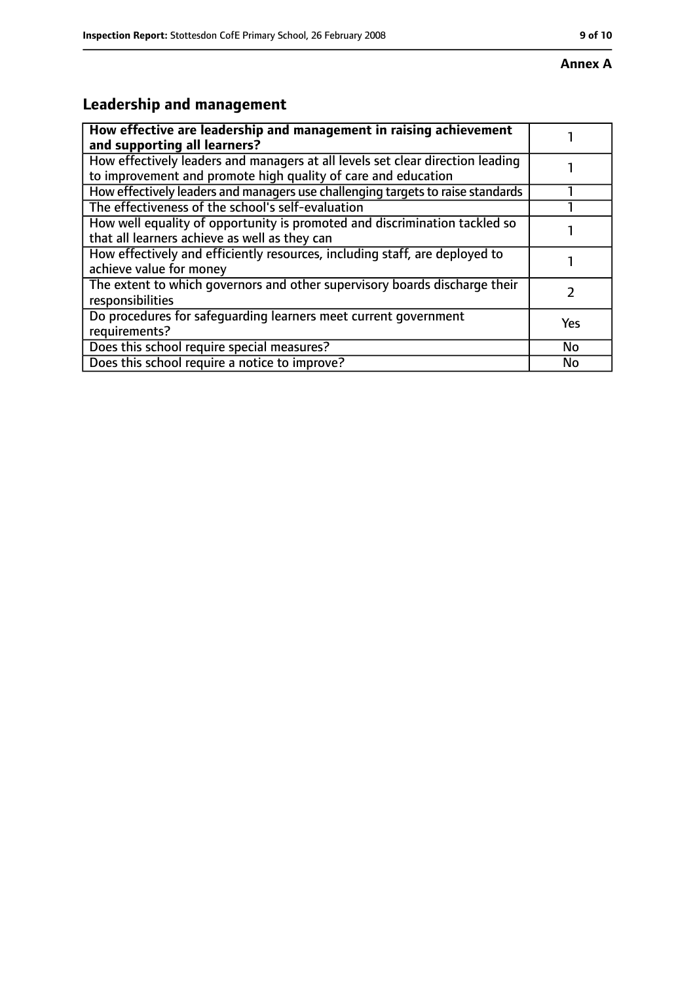# **Leadership and management**

| How effective are leadership and management in raising achievement<br>and supporting all learners?                                              |           |
|-------------------------------------------------------------------------------------------------------------------------------------------------|-----------|
| How effectively leaders and managers at all levels set clear direction leading<br>to improvement and promote high quality of care and education |           |
| How effectively leaders and managers use challenging targets to raise standards                                                                 |           |
| The effectiveness of the school's self-evaluation                                                                                               |           |
| How well equality of opportunity is promoted and discrimination tackled so<br>that all learners achieve as well as they can                     |           |
| How effectively and efficiently resources, including staff, are deployed to<br>achieve value for money                                          |           |
| The extent to which governors and other supervisory boards discharge their<br>responsibilities                                                  |           |
| Do procedures for safequarding learners meet current government<br>requirements?                                                                | Yes       |
| Does this school require special measures?                                                                                                      | <b>No</b> |
| Does this school require a notice to improve?                                                                                                   | No        |